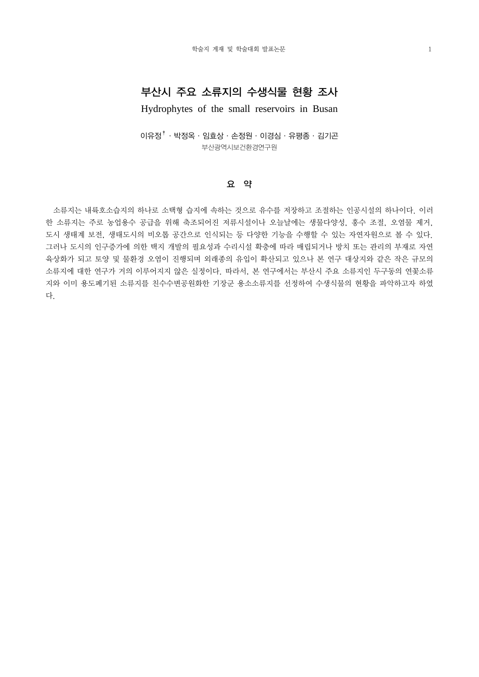## 부산시 주요 소류지의 수생식물 현황 조사

Hydrophytes of the small reservoirs in Busan

 $0$ 유정 $^{\dagger}$ · 박정옥·임효상·손정원·이경심·유평종·김기곤 부산광역시보건환경연구원

## 요 약

 소류지는 내륙호소습지의 하나로 소택형 습지에 속하는 것으로 유수를 저장하고 조절하는 인공시설의 하나이다. 이러 한 소류지는 주로 농업용수 공급을 위해 축조되어진 저류시설이나 오늘날에는 생물다양성, 홍수 조절, 오염물 제거, 도시 생태계 보전, 생태도시의 비오톱 공간으로 인식되는 등 다양한 기능을 수행할 수 있는 자연자원으로 볼 수 있다. 그러나 도시의 인구증가에 의한 택지 개발의 필요성과 수리시설 확충에 따라 매립되거나 방치 또는 관리의 부재로 자연 육상화가 되고 토양 및 물환경 오염이 진행되며 외래종의 유입이 확산되고 있으나 본 연구 대상지와 같은 작은 규모의 소류지에 대한 연구가 거의 이루어지지 않은 실정이다. 따라서, 본 연구에서는 부산시 주요 소류지인 두구동의 연꽃소류 지와 이미 용도폐기된 소류지를 친수수변공원화한 기장군 용소소류지를 선정하여 수생식물의 현황을 파악하고자 하였 다.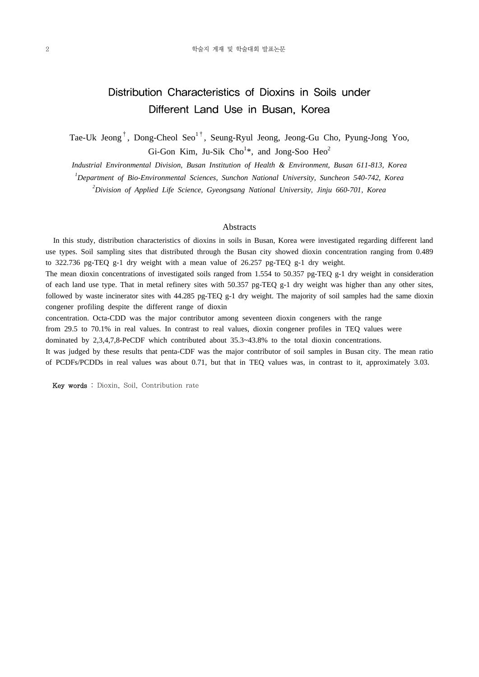# Distribution Characteristics of Dioxins in Soils under Different Land Use in Busan, Korea

Tae-Uk Jeong<sup>†</sup>, Dong-Cheol Seo<sup>1†</sup>, Seung-Ryul Jeong, Jeong-Gu Cho, Pyung-Jong Yoo, Gi-Gon Kim, Ju-Sik Cho<sup>1\*</sup>, and Jong-Soo Heo<sup>2</sup>

*Industrial Environmental Division, Busan Institution of Health & Environment, Busan 611-813, Korea*

*1 Department of Bio-Environmental Sciences, Sunchon National University, Suncheon 540-742, Korea*

*2 Division of Applied Life Science, Gyeongsang National University, Jinju 660-701, Korea*

### **Abstracts**

 In this study, distribution characteristics of dioxins in soils in Busan, Korea were investigated regarding different land use types. Soil sampling sites that distributed through the Busan city showed dioxin concentration ranging from 0.489 to 322.736 pg-TEQ g-1 dry weight with a mean value of 26.257 pg-TEQ g-1 dry weight.

The mean dioxin concentrations of investigated soils ranged from 1.554 to 50.357 pg-TEQ g-1 dry weight in consideration of each land use type. That in metal refinery sites with 50.357 pg-TEQ g-1 dry weight was higher than any other sites, followed by waste incinerator sites with 44.285 pg-TEQ g-1 dry weight. The majority of soil samples had the same dioxin congener profiling despite the different range of dioxin

concentration. Octa-CDD was the major contributor among seventeen dioxin congeners with the range from 29.5 to 70.1% in real values. In contrast to real values, dioxin congener profiles in TEQ values were dominated by 2,3,4,7,8-PeCDF which contributed about 35.3~43.8% to the total dioxin concentrations. It was judged by these results that penta-CDF was the major contributor of soil samples in Busan city. The mean ratio of PCDFs/PCDDs in real values was about 0.71, but that in TEQ values was, in contrast to it, approximately 3.03.

Key words : Dioxin, Soil, Contribution rate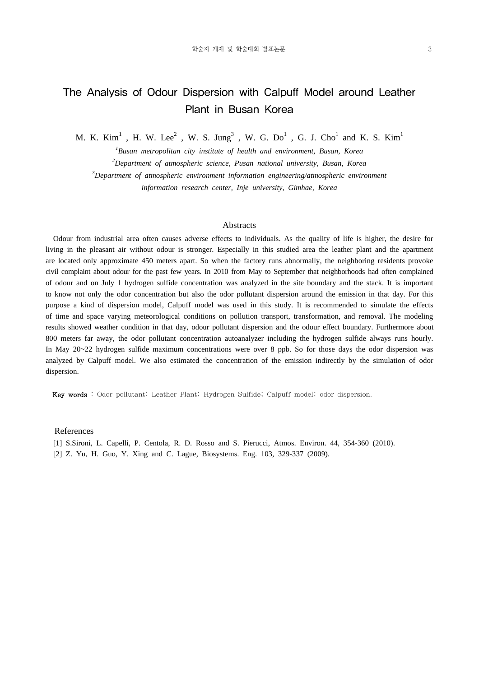# The Analysis of Odour Dispersion with Calpuff Model around Leather Plant in Busan Korea

M. K. Kim<sup>1</sup>, H. W. Lee<sup>2</sup>, W. S. Jung<sup>3</sup>, W. G. Do<sup>1</sup>, G. J. Cho<sup>1</sup> and K. S. Kim<sup>1</sup>

*1 Busan metropolitan city institute of health and environment, Busan, Korea*

*2 Department of atmospheric science, Pusan national university, Busan, Korea*

*3 Department of atmospheric environment information engineering/atmospheric environment*

*information research center, Inje university, Gimhae, Korea*

#### Abstracts

 Odour from industrial area often causes adverse effects to individuals. As the quality of life is higher, the desire for living in the pleasant air without odour is stronger. Especially in this studied area the leather plant and the apartment are located only approximate 450 meters apart. So when the factory runs abnormally, the neighboring residents provoke civil complaint about odour for the past few years. In 2010 from May to September that neighborhoods had often complained of odour and on July 1 hydrogen sulfide concentration was analyzed in the site boundary and the stack. It is important to know not only the odor concentration but also the odor pollutant dispersion around the emission in that day. For this purpose a kind of dispersion model, Calpuff model was used in this study. It is recommended to simulate the effects of time and space varying meteorological conditions on pollution transport, transformation, and removal. The modeling results showed weather condition in that day, odour pollutant dispersion and the odour effect boundary. Furthermore about 800 meters far away, the odor pollutant concentration autoanalyzer including the hydrogen sulfide always runs hourly. In May 20~22 hydrogen sulfide maximum concentrations were over 8 ppb. So for those days the odor dispersion was analyzed by Calpuff model. We also estimated the concentration of the emission indirectly by the simulation of odor dispersion.

Key words : Odor pollutant; Leather Plant; Hydrogen Sulfide; Calpuff model; odor dispersion.

#### References

 [1] S.Sironi, L. Capelli, P. Centola, R. D. Rosso and S. Pierucci, Atmos. Environ. 44, 354-360 (2010). [2] Z. Yu, H. Guo, Y. Xing and C. Lague, Biosystems. Eng. 103, 329-337 (2009).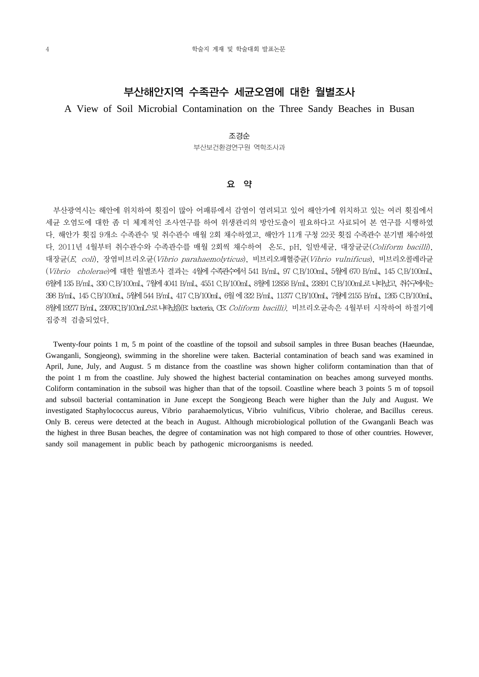## 부산해안지역 수족관수 세균오염에 대한 월별조사

## A View of Soil Microbial Contamination on the Three Sandy Beaches in Busan

### 조경순

부산보건환경연구원 역학조사과

## 요 약

 부산광역시는 해안에 위치하여 횟집이 많아 어패류에서 감염이 염려되고 있어 해안가에 위치하고 있는 여러 횟집에서 세균 오염도에 대한 좀 더 체계적인 조사연구를 하여 위생관리의 방안도출이 필요하다고 사료되어 본 연구를 시행하였 다. 해안가 횟집 9개소 수족관수 및 취수관수 매월 2회 채수하였고, 해안가 11개 구청 22곳 횟집 수족관수 분기별 채수하였 다. 2011년 4월부터 취수관수와 수족관수를 매월 2회씩 채수하여 온도, pH, 일반세균, 대장균군(Coliform bacilli), 대장균(E. coli), 장염비브리오균(Vibrio parahaemolyticus), 비브리오패혈증균(Vibrio vulnificus), 비브리오콜레라균 (Vibrio cholerae)에 대한 월별조사 결과는 4월에 수족관수에서 541 B/mL, 97 C.B/100mL, 5월에 670 B/mL, 145 C.B/100mL, 6월에 135 B/mL, 330 C.B/100mL, 7월에 4041 B/mL, 4551 C.B/100mL, 8월에 12858 B/mL, 23891 C.B/100mL로 나타났고, 취수구에서는 398 B/mL, 145 C.B/100mL, 5월에 544 B/mL, 417 C.B/100mL, 6월 에 322 B/mL, 11377 C.B/100mL, 7월에 2155 B/mL, 1265 C.B/100mL, 8월에 19277 B/mL, 23976C.B/100mL으로 나타났음(B: bacteria, CB: Coliform bacilli). 비브리오균속은 4월부터 시작하여 하절기에 집중적 검출되었다.

 Twenty-four points 1 m, 5 m point of the coastline of the topsoil and subsoil samples in three Busan beaches (Haeundae, Gwanganli, Songjeong), swimming in the shoreline were taken. Bacterial contamination of beach sand was examined in April, June, July, and August. 5 m distance from the coastline was shown higher coliform contamination than that of the point 1 m from the coastline. July showed the highest bacterial contamination on beaches among surveyed months. Coliform contamination in the subsoil was higher than that of the topsoil. Coastline where beach 3 points 5 m of topsoil and subsoil bacterial contamination in June except the Songjeong Beach were higher than the July and August. We investigated Staphylococcus aureus, Vibrio parahaemolyticus, Vibrio vulnificus, Vibrio cholerae, and Bacillus cereus. Only B. cereus were detected at the beach in August. Although microbiological pollution of the Gwanganli Beach was the highest in three Busan beaches, the degree of contamination was not high compared to those of other countries. However, sandy soil management in public beach by pathogenic microorganisms is needed.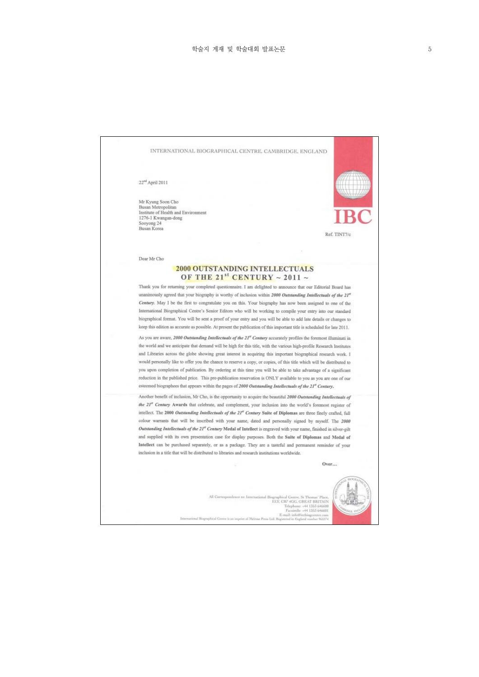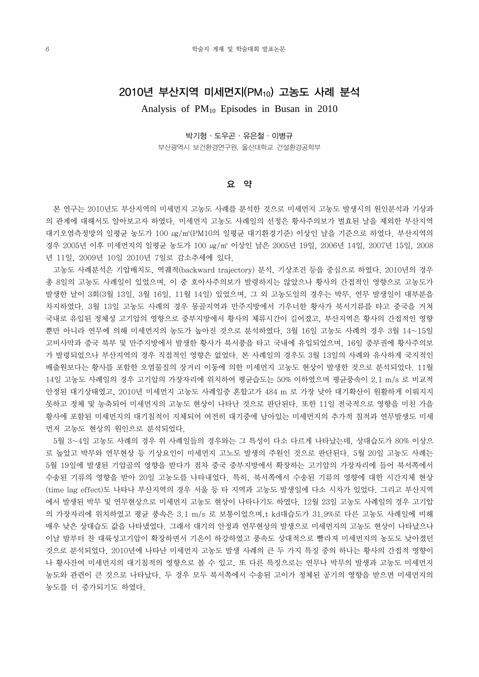## 2010년 부산지역 미세먼지(PM10) 고농도 사례 분석

Analysis of PM10 Episodes in Busan in 2010

박기형·도우곤·유은철·이병규 부산광역시 보건환경연구원, 울산대학교 건설환경공학부

## 요 약

 본 연구는 2010년도 부산지역의 미세먼지 고농도 사례를 분석한 것으로 미세먼지 고농도 발생시의 원인분석과 기상과 의 관계에 대해서도 알아보고자 하였다. 미세먼지 고농도 사례일의 선정은 황사주의보가 벌효된 날을 제외한 부산지역 대기오염측정망의 일평균 농도가 100 ㎍/㎥(PM10의 일평균 대기환경기준) 이상인 날을 기준으로 하였다. 부산지역의 경우 2005년 이후 미세먼지의 일평균 농도가 100 ㎍/㎥ 이상인 날은 2005년 19일, 2006년 14일, 2007년 15일, 2008 년 11일, 2009년 10일 2010년 7일로 감소추세에 있다.

 고농도 사례분석은 기압배치도, 역궤적(backward trajectory) 분석, 기상조건 등을 중심으로 하였다. 2010년의 경우 총 8일의 고농도 사례일이 있었으며, 이 중 호아사주의보가 발령하지는 않았으나 황사의 간접적인 영향으로 고농도가 발생한 날이 3회(3월 13일, 3월 16일, 11월 14일) 있었으며, 그 외 고농도일의 경우는 박무, 연무 발생일이 대부분을 차지하였다. 3월 13일 고농도 사례의 경우 몽골지역과 만주지방에서 기우너한 황사가 북서기류를 타고 중국을 거쳐 국내로 유입된 정체성 고기압의 영향으로 중부지방에서 황사의 체류시간이 길어졌고, 부산지역은 황사의 간접적인 영향 뿐만 아니라 연무에 의해 미세먼지의 농도가 높아진 것으로 분석하였다. 3월 16일 고농도 사례의 경우 3월 14~15일 고비사막과 중국 북부 및 만주지방에서 발생한 황사가 북서풍을 타고 국내에 유입되었으며, 16일 중부권에 황사주의보 가 발령되었으나 부산지역의 경우 직접적인 영향은 없었다. 본 사례일의 경우도 3월 13일의 사례와 유사하게 국지적인 배출원보다는 황사를 포함한 오염물질의 장거리 이동에 의한 미세먼지 고농도 현상이 발생한 것으로 분석되었다. 11월 14일 고농도 사례일의 경우 고기압의 가장자리에 위치하여 평균습도는 50% 이하였으며 평균풍속이 2.1 m/s 로 비교적 안정된 대기상태였고, 2010년 미세먼지 고농도 사례일중 혼합고가 484 m 로 가장 낮아 대기확산이 원활하게 이뤄지지 못하고 정체 및 농축되어 미세먼지의 고농도 현상이 나타난 것으로 판단된다. 또한 11일 전국적으로 영향을 미친 가을 황사에 포함된 미세먼지의 대기침적이 지체되어 여전히 대기중에 남아있는 미세먼지의 추가적 침적과 연무발생도 미세 먼저 고농도 현상의 원인으로 분석되었다.

 5월 3~4일 고농도 사례의 경우 위 사례일들의 경우와는 그 특성이 다소 다르게 나타났는데, 상대습도가 80% 이상으 로 높았고 박무와 연무현상 등 기상요인이 미세먼지 고노도 발생의 주원인 것으로 판단된다. 5월 20일 고농도 사례는 5월 19일에 발생된 기압골의 영향을 받다가 점차 중국 중부지방에서 확장하는 고기압의 가장자리에 들어 북서쪽에서 수송된 기류의 영향을 받아 20일 고농도를 나타내었다. 특히, 북서쪽에서 수송된 기류의 영향에 대한 시간지체 현상 (time lag effect)도 나타나 부산지역의 경우 서울 등 타 지역과 고농도 발생일에 다소 시차가 있었다. 그리고 부산지역 에서 발생된 박무 및 연무현상으로 미세먼지 고농도 현상이 나타나기도 하였다. 12월 23일 고농도 사례일의 경우 고기압 의 가장자리에 위치하였고 평균 풍속은 3.1 m/s 로 보통이었으며,t kd대습도가 31.9%로 다른 고농도 사례일에 비해 매우 낮은 상대습도 값을 나타냈었다. 그래서 대기의 안정과 연무현상의 발생으로 미세먼지의 고농도 현상이 나타났으나 이날 밤부터 찬 대륙성고기압이 확장하면서 기온이 하강하였고 풍속도 상대적으로 빨라져 미세먼지의 농도도 낮아졌던 것으로 분석되었다. 2010년에 나타난 미세먼지 고농도 발생 사례의 큰 두 가지 특징 중의 하나는 황사의 간접적 영향이 나 황사잔여 미세먼지의 대기침적의 영향으로 볼 수 있고, 또 다른 특징으로는 연무나 박무의 발생과 고농도 미세먼지 농도와 관련이 큰 것으로 나타났다. 두 경우 모두 북서쪽에서 수송된 고이가 정체된 공기의 영향을 받으면 미세먼지의 농도를 더 증가되기도 하였다.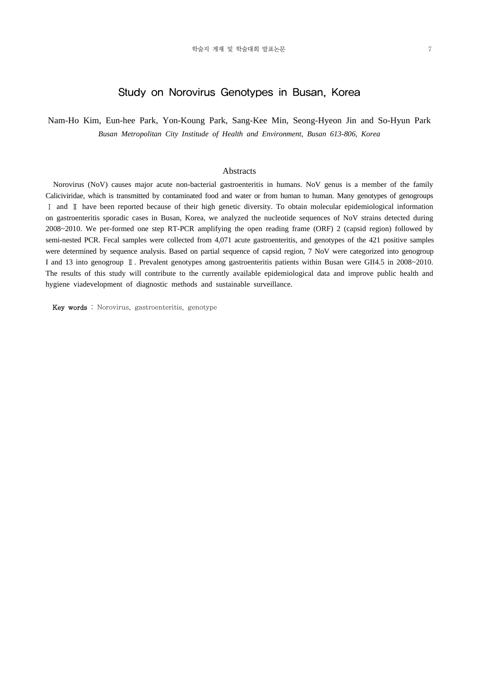## Study on Norovirus Genotypes in Busan, Korea

Nam-Ho Kim, Eun-hee Park, Yon-Koung Park, Sang-Kee Min, Seong-Hyeon Jin and So-Hyun Park *Busan Metropolitan City Institude of Health and Environment, Busan 613-806, Korea*

### Abstracts

 Norovirus (NoV) causes major acute non-bacterial gastroenteritis in humans. NoV genus is a member of the family Caliciviridae, which is transmitted by contaminated food and water or from human to human. Many genotypes of genogroups Ⅰ and Ⅱ have been reported because of their high genetic diversity. To obtain molecular epidemiological information on gastroenteritis sporadic cases in Busan, Korea, we analyzed the nucleotide sequences of NoV strains detected during 2008~2010. We per-formed one step RT-PCR amplifying the open reading frame (ORF) 2 (capsid region) followed by semi-nested PCR. Fecal samples were collected from 4,071 acute gastroenteritis, and genotypes of the 421 positive samples were determined by sequence analysis. Based on partial sequence of capsid region, 7 NoV were categorized into genogroup I and 13 into genogroup Ⅱ. Prevalent genotypes among gastroenteritis patients within Busan were GII4.5 in 2008~2010. The results of this study will contribute to the currently available epidemiological data and improve public health and hygiene viadevelopment of diagnostic methods and sustainable surveillance.

Key words : Norovirus, gastroenteritis, genotype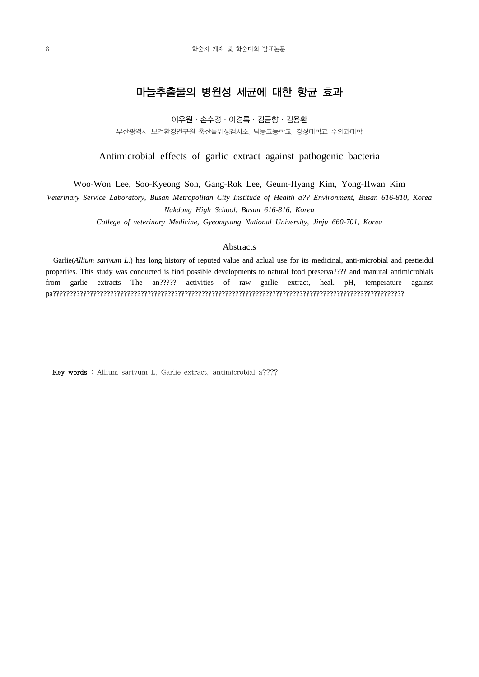## 마늘추출물의 병원성 세균에 대한 항균 효과

이우원·손수경·이경록·김금향·김용환

부산광역시 보건환경연구원 축산물위생검사소, 낙동고등학교, 경상대학교 수의과대학

Antimicrobial effects of garlic extract against pathogenic bacteria

Woo-Won Lee, Soo-Kyeong Son, Gang-Rok Lee, Geum-Hyang Kim, Yong-Hwan Kim

*Veterinary Service Laboratory, Busan Metropolitan City Institude of Health a?? Environment, Busan 616-810, Korea Nakdong High School, Busan 616-816, Korea*

*College of veterinary Medicine, Gyeongsang National University, Jinju 660-701, Korea*

### **Abstracts**

 Garlie(*Allium sarivum L.*) has long history of reputed value and aclual use for its medicinal, anti-microbial and pestieidul properlies. This study was conducted is find possible developments to natural food preserva???? and manural antimicrobials from garlie extracts The an????? activities of raw garlie extract, heal. pH, temperature against pa????????????????????????????????????????????????????????????????????????????????????????????????????????

Key words : Allium sarivum L. Garlie extract. antimicrobial a????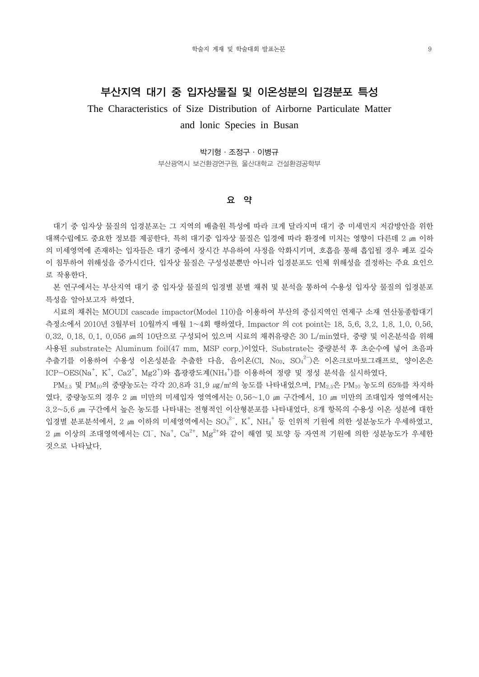## 부산지역 대기 중 입자상물질 및 이온성분의 입경분포 특성

The Characteristics of Size Distribution of Airborne Particulate Matter

## and lonic Species in Busan

#### 박기형·조정구·이병규

부산광역시 보건환경연구원, 울산대학교 건설환경공학부

### 요 약

 대기 중 입자상 물질의 입경분포는 그 지역의 배출원 특성에 따라 크게 달라지며 대기 중 미세먼지 저감방안을 위한 대책수립에도 중요한 정보를 제공한다. 특히 대기중 입자상 물질은 입경에 따라 환경에 미치는 영향이 다른데 2 ㎛ 이하 의 미세영역에 존재하는 입자들은 대기 중에서 장시간 부유하여 사정을 악화시키며, 호흡을 통해 흡입될 경우 폐포 깊숙 이 침투하여 위해성을 증가시킨다. 입자상 물질은 구성성분뿐만 아니라 입경분포도 인체 위해성을 결정하는 주요 요인으 로 작용한다.

 본 연구에서는 부산지역 대기 중 입자상 물질의 입경별 분별 채취 및 분석을 통하여 수용성 입자상 물질의 입경분포 특성을 알아보고자 하였다.

 시료의 채취는 MOUDI cascade impactor(Model 110)을 이용하여 부산의 중심지역인 연제구 소재 연산동종합대기 측정소에서 2010년 3월부터 10월까지 매월 1~4회 행하였다. Impactor 의 cot point는 18, 5.6, 3.2, 1.8, 1.0, 0.56, 0.32, 0.18, 0.1, 0.056 ㎛의 10단으로 구성되어 있으며 시료의 채취유량은 30 L/min였다. 중량 및 이온분석을 위해 사용된 substrate는 Aluminum foil(47 mm, MSP corp.)이었다. Substrate는 중량분석 후 초순수에 넣어 초음파 추출기를 이용하여 수용성 이온성분을 추출한 다음, 음이온(Cl, No<sub>3</sub>, SO4<sup>2-</sup>)은 이온크로마토그래프로, 양이온은 ICP-OES(Na<sup>+</sup>, K<sup>+</sup>, Ca2<sup>+</sup>, Mg2<sup>+</sup>)와 흡광광도계(NH<sub>4</sub><sup>+</sup>)를 이용하여 정량 및 정성 분석을 실시하였다.

PM<sub>2.5</sub> 및 PM<sub>10</sub>의 중량농도는 각각 20.8과 31.9 *ug/m*<sup>3</sup>의 농도를 나타내었으며, PM<sub>2.5</sub>은 PM<sub>10</sub> 농도의 65%를 차지하 였다. 중량농도의 경우 2 ㎛ 미만의 미세입자 영역에서는 0.56~1.0 ㎛ 구간에서, 10 ㎛ 미만의 조대입자 영역에서는 3.2~5.6 ㎛ 구간에서 높은 농도를 나타내는 전형적인 이산형분포를 나타내었다. 8개 항목의 수용성 이온 성분에 대한 입경별 분포분석에서, 2 ㎝ 이하의 미세영역에서는  ${\rm SO_4}^{2-}$ , K<sup>+</sup>, NH<sub>4</sub><sup>+</sup> 등 인위적 기원에 의한 성분농도가 우세하였고,  $2$  ㎝ 이상의 조대영역에서는 Cl¯, Na<sup>+</sup>, Ca $^{2+}$ , Mg $^{2+}$ 와 같이 해염 및 토양 등 자연적 기원에 의한 성분농도가 우세한 것으로 나타났다.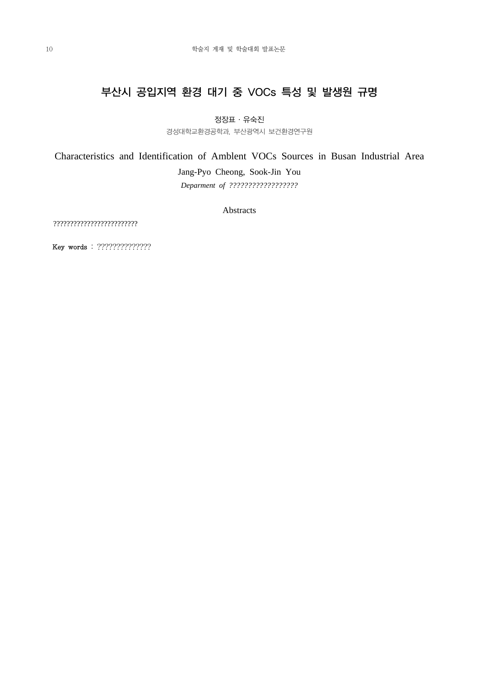# 부산시 공입지역 환경 대기 중 VOCs 특성 및 발생원 규명

정장표·유숙진

경성대학교환경공학과, 부산광역시 보건환경연구원

Characteristics and Identification of Amblent VOCs Sources in Busan Industrial Area

Jang-Pyo Cheong, Sook-Jin You

*Deparment of ??????????????????*

Abstracts

?????????????????????????

Key words : ??????????????